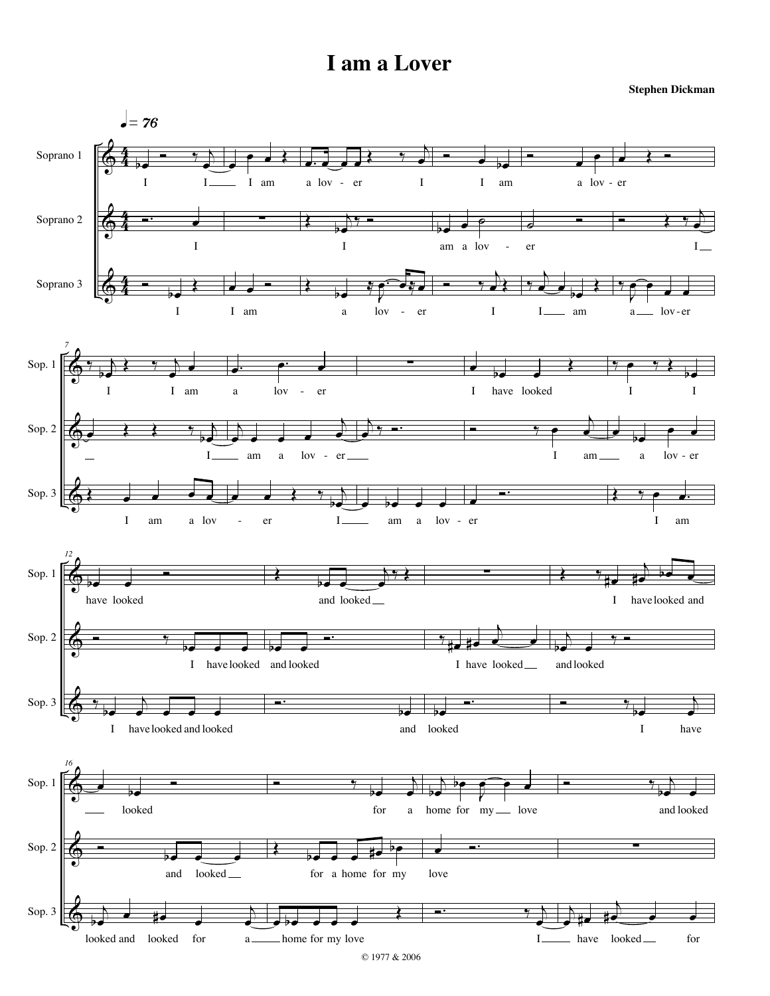**Stephen Dickman**

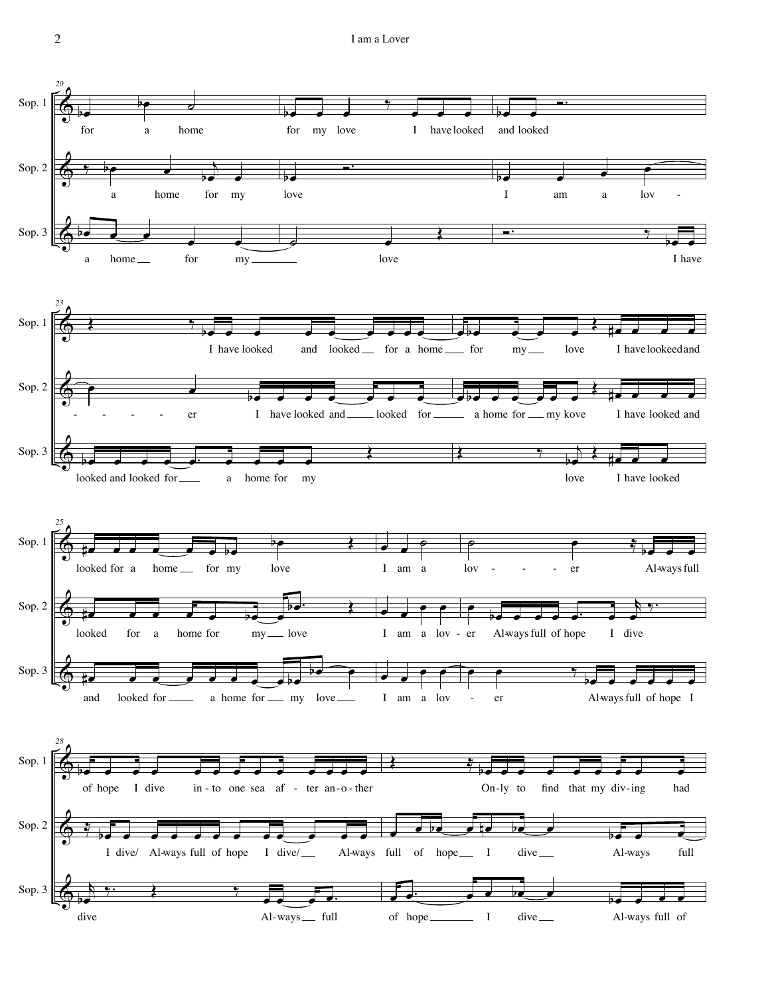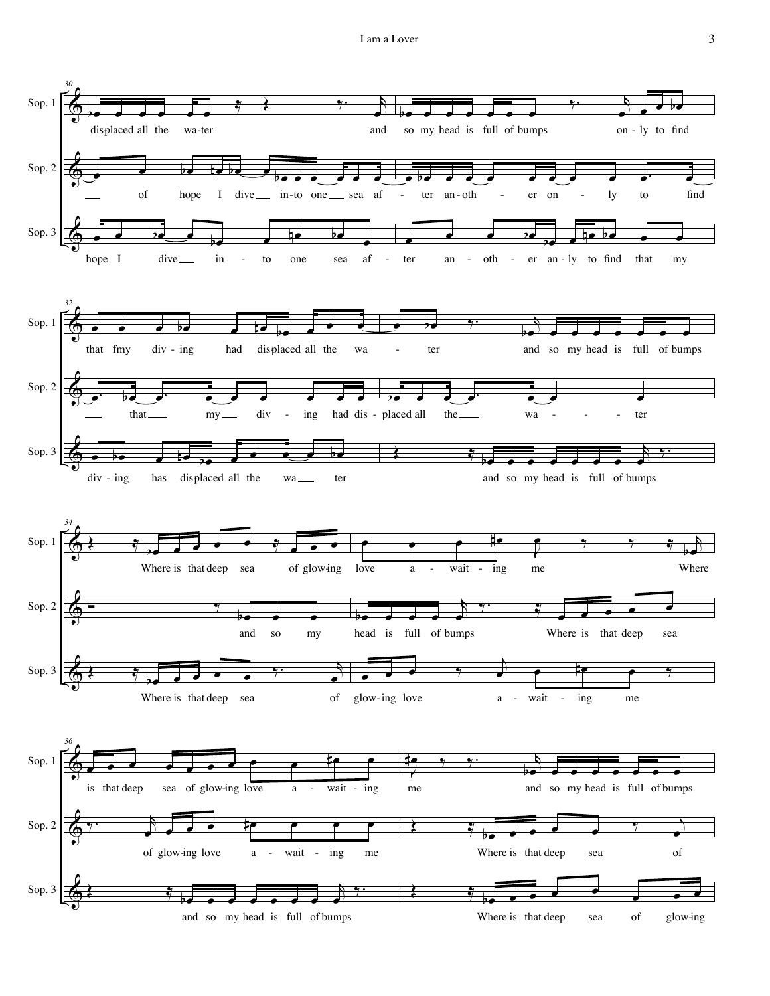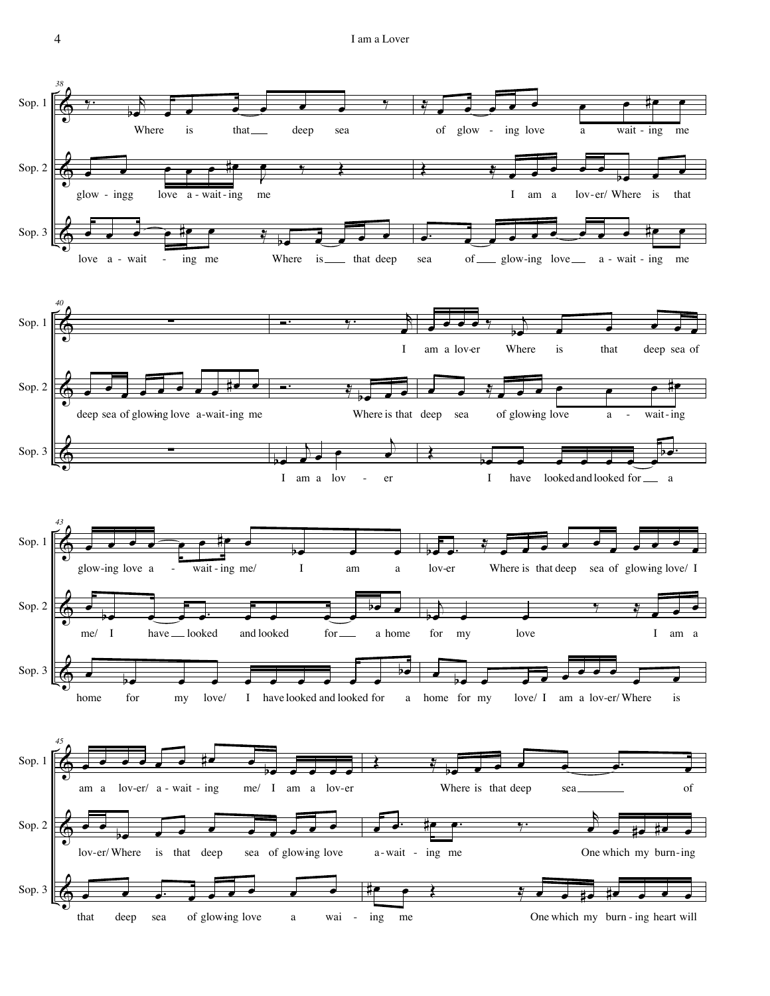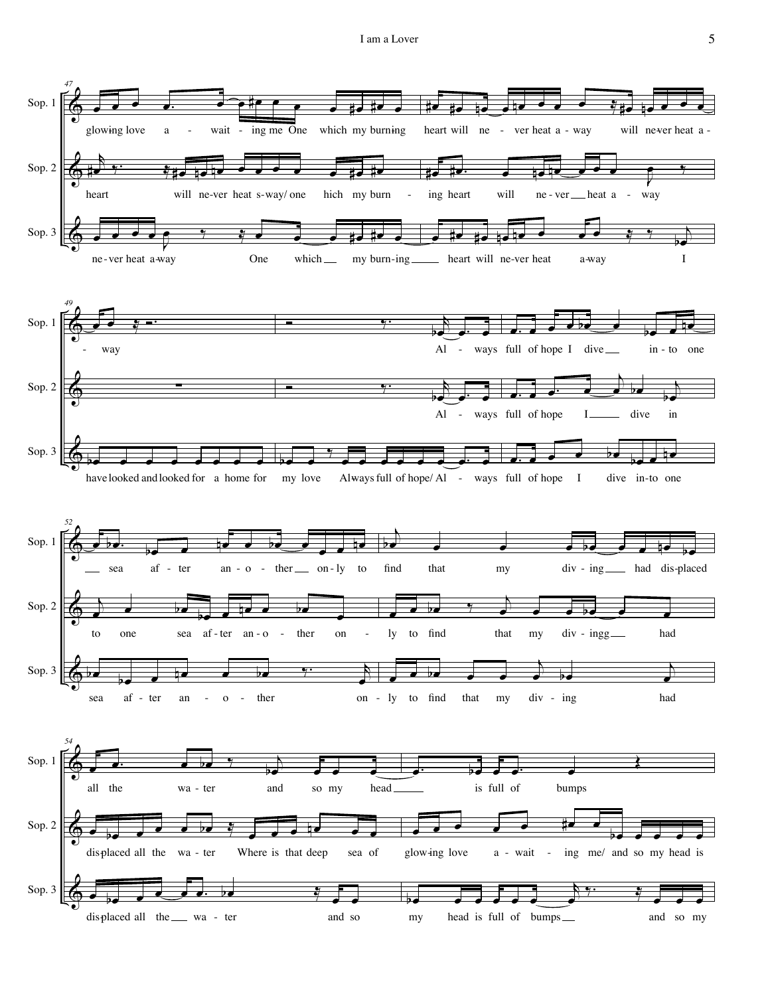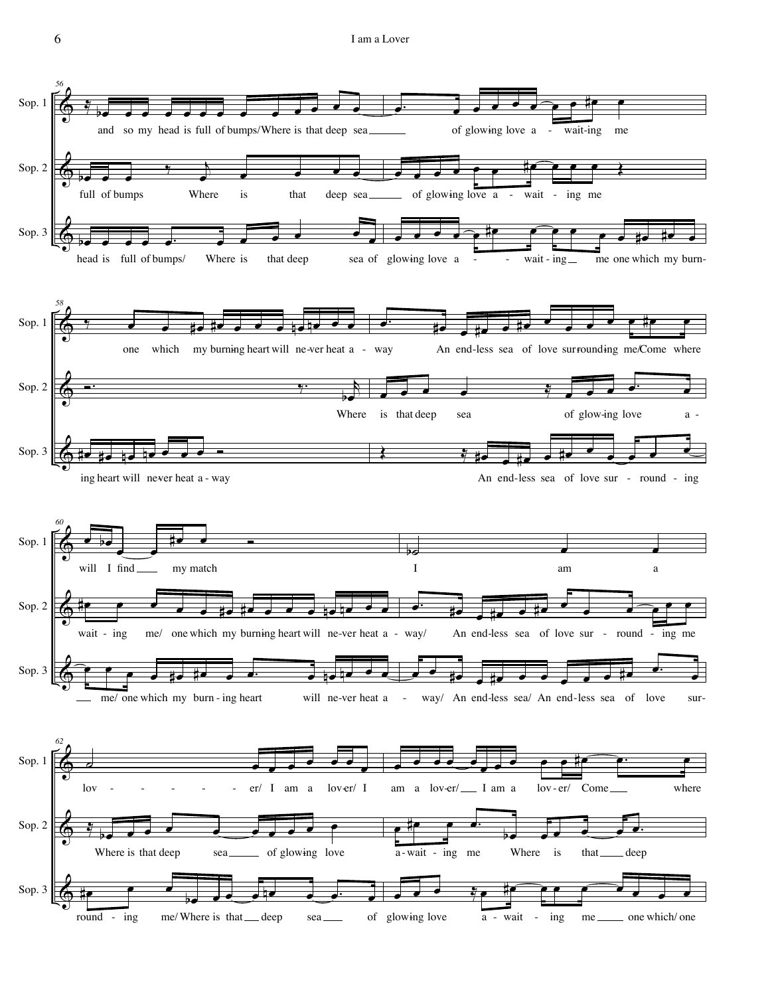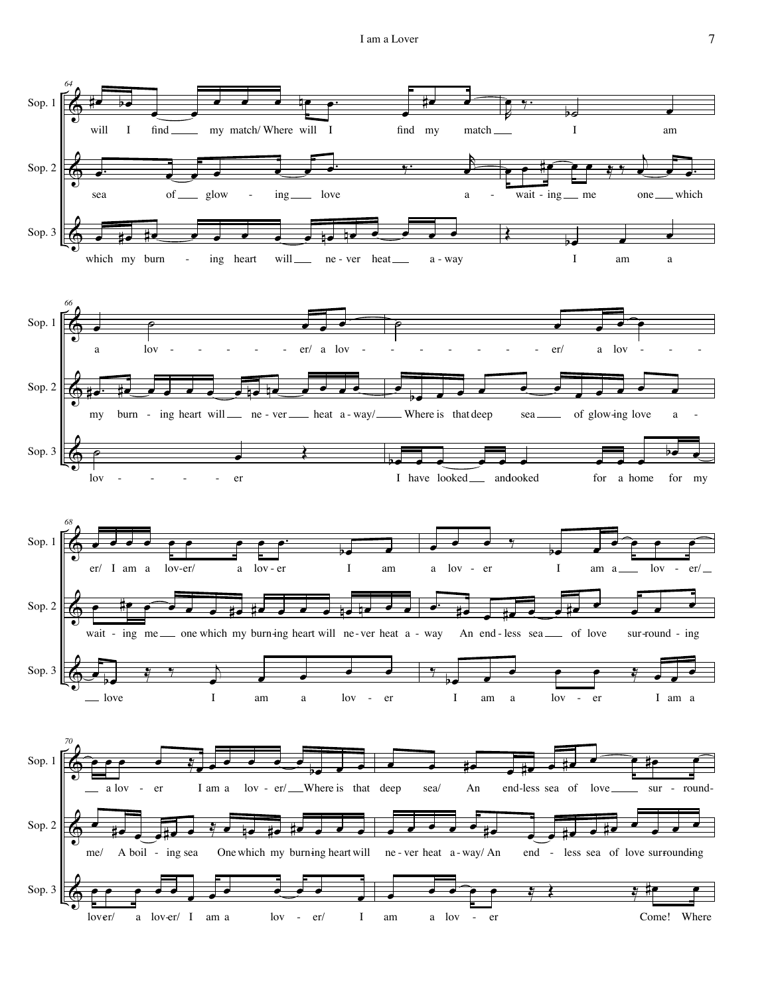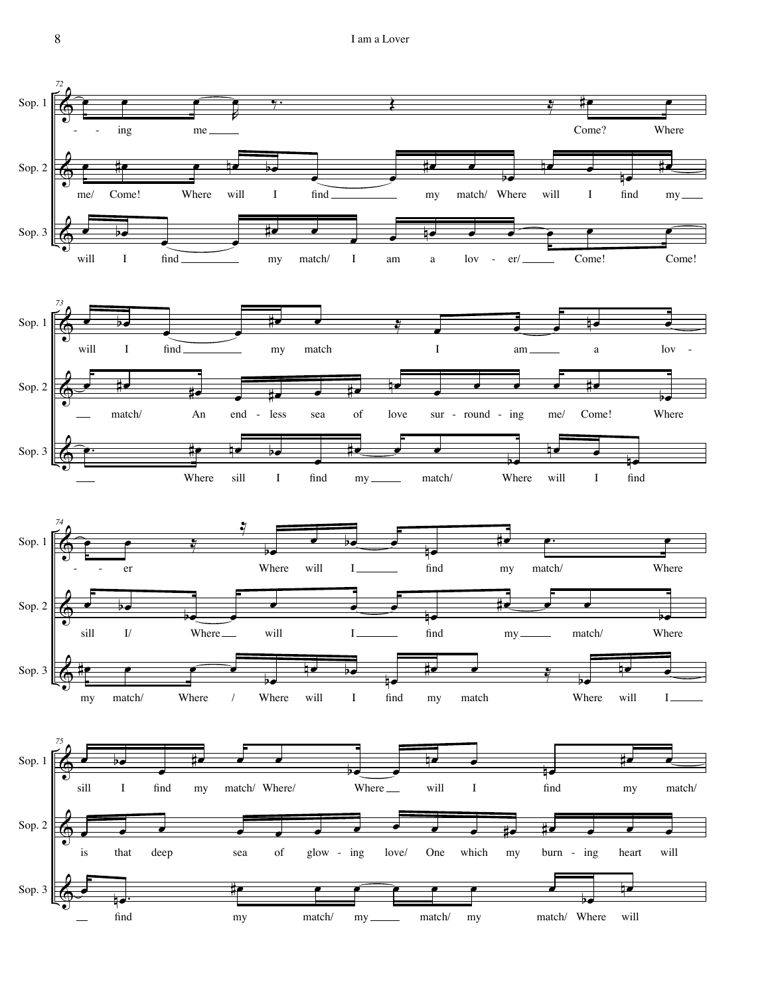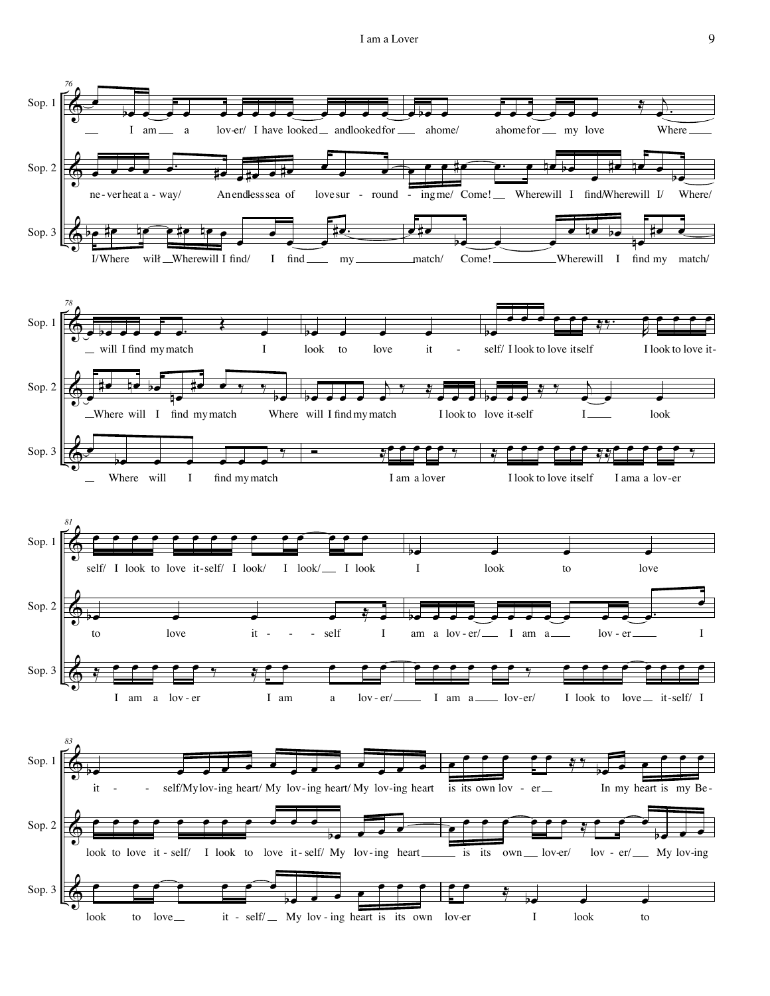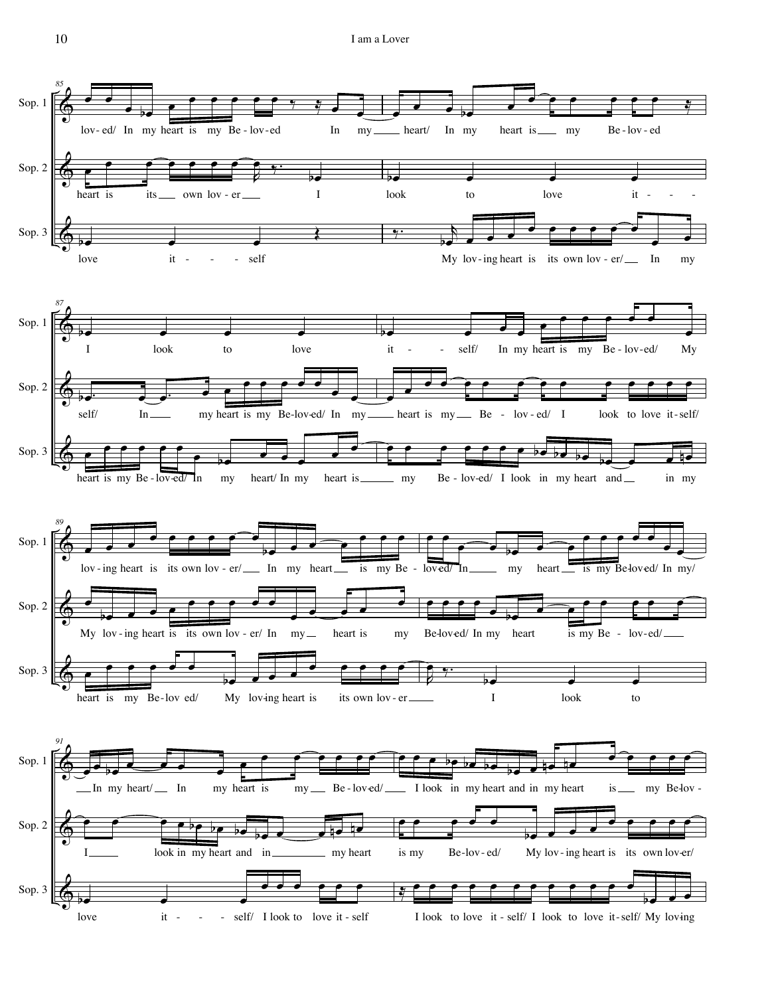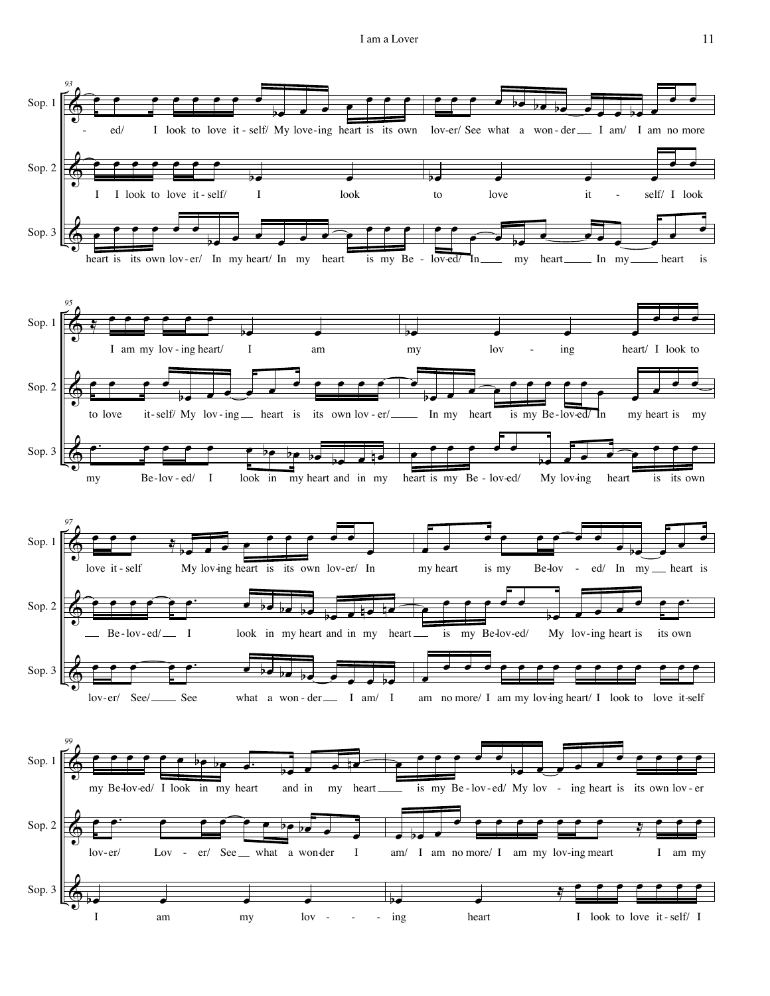